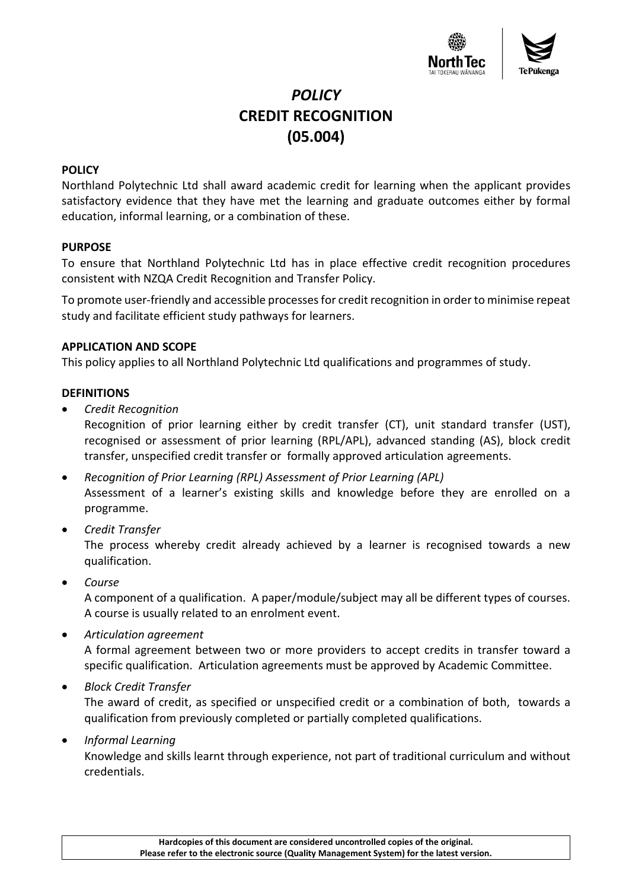

# *POLICY* **CREDIT RECOGNITION (05.004)**

### **POLICY**

Northland Polytechnic Ltd shall award academic credit for learning when the applicant provides satisfactory evidence that they have met the learning and graduate outcomes either by formal education, informal learning, or a combination of these.

#### **PURPOSE**

To ensure that Northland Polytechnic Ltd has in place effective credit recognition procedures consistent with NZQA Credit Recognition and Transfer Policy.

To promote user-friendly and accessible processes for credit recognition in order to minimise repeat study and facilitate efficient study pathways for learners.

### **APPLICATION AND SCOPE**

This policy applies to all Northland Polytechnic Ltd qualifications and programmes of study.

### **DEFINITIONS**

• *Credit Recognition*

Recognition of prior learning either by credit transfer (CT), unit standard transfer (UST), recognised or assessment of prior learning (RPL/APL), advanced standing (AS), block credit transfer, unspecified credit transfer or formally approved articulation agreements.

- *Recognition of Prior Learning (RPL) Assessment of Prior Learning (APL)* Assessment of a learner's existing skills and knowledge before they are enrolled on a programme.
- *Credit Transfer*

The process whereby credit already achieved by a learner is recognised towards a new qualification.

• *Course*

A component of a qualification. A paper/module/subject may all be different types of courses. A course is usually related to an enrolment event.

- *Articulation agreement* A formal agreement between two or more providers to accept credits in transfer toward a specific qualification. Articulation agreements must be approved by Academic Committee.
- *Block Credit Transfer*

The award of credit, as specified or unspecified credit or a combination of both, towards a qualification from previously completed or partially completed qualifications.

• *Informal Learning*

Knowledge and skills learnt through experience, not part of traditional curriculum and without credentials.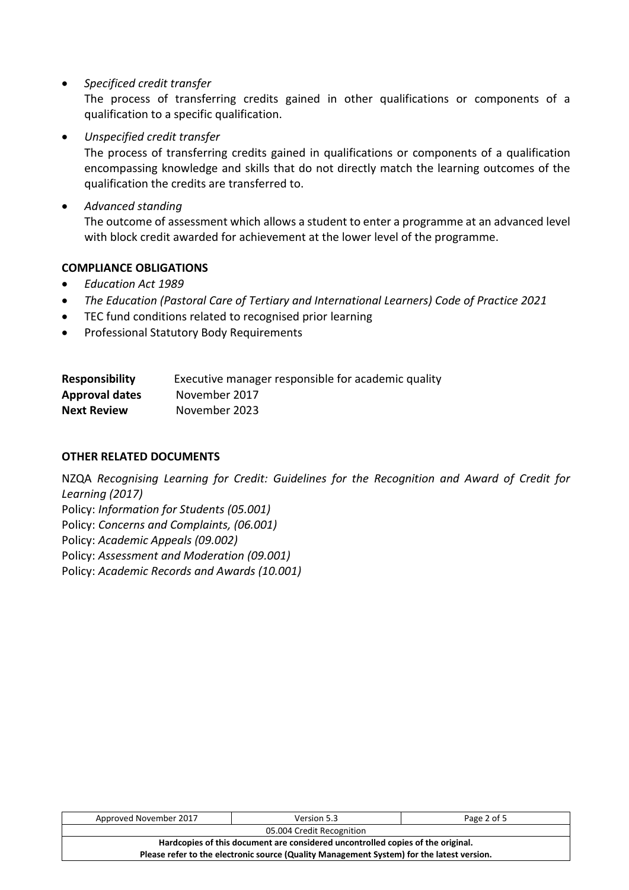• *Specificed credit transfer*

The process of transferring credits gained in other qualifications or components of a qualification to a specific qualification.

• *Unspecified credit transfer*

The process of transferring credits gained in qualifications or components of a qualification encompassing knowledge and skills that do not directly match the learning outcomes of the qualification the credits are transferred to.

• *Advanced standing* 

The outcome of assessment which allows a student to enter a programme at an advanced level with block credit awarded for achievement at the lower level of the programme.

# **COMPLIANCE OBLIGATIONS**

- *Education Act 1989*
- *The Education (Pastoral Care of Tertiary and International Learners) Code of Practice 2021*
- TEC fund conditions related to recognised prior learning
- Professional Statutory Body Requirements

| <b>Responsibility</b> | Executive manager responsible for academic quality |
|-----------------------|----------------------------------------------------|
| <b>Approval dates</b> | November 2017                                      |
| <b>Next Review</b>    | November 2023                                      |

# **OTHER RELATED DOCUMENTS**

NZQA *Recognising Learning for Credit: Guidelines for the Recognition and Award of Credit for Learning (2017)* Policy: *Information for Students (05.001)*  Policy: *Concerns and Complaints, (06.001)* Policy: *Academic Appeals (09.002)* Policy: *Assessment and Moderation (09.001)* Policy: *Academic Records and Awards (10.001)*

| Approved November 2017                                                                    | Version 5.3 | Page 2 of 5 |  |  |
|-------------------------------------------------------------------------------------------|-------------|-------------|--|--|
| 05.004 Credit Recognition                                                                 |             |             |  |  |
| Hardcopies of this document are considered uncontrolled copies of the original.           |             |             |  |  |
| Please refer to the electronic source (Quality Management System) for the latest version. |             |             |  |  |
|                                                                                           |             |             |  |  |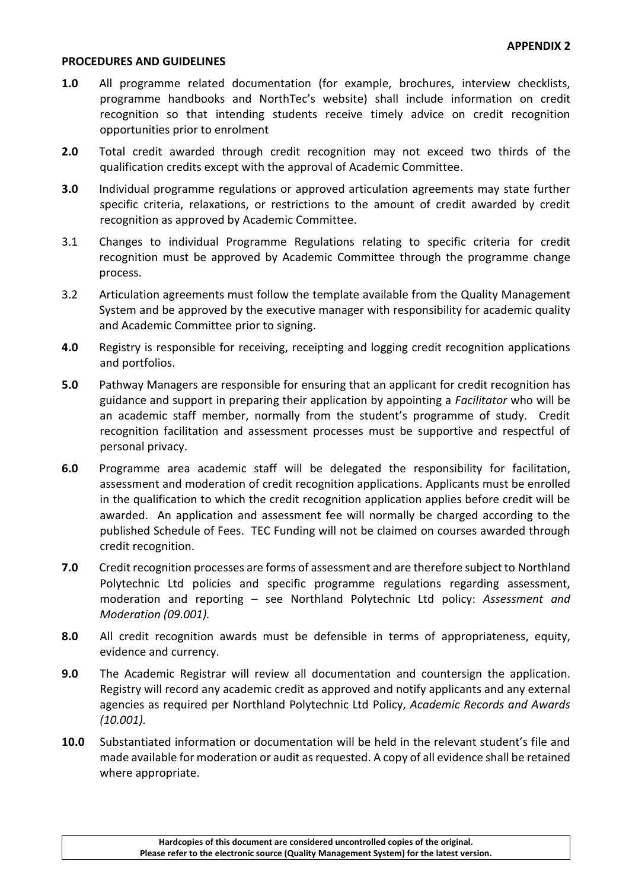#### **PROCEDURES AND GUIDELINES**

- **1.0** All programme related documentation (for example, brochures, interview checklists, programme handbooks and NorthTec's website) shall include information on credit recognition so that intending students receive timely advice on credit recognition opportunities prior to enrolment
- **2.0** Total credit awarded through credit recognition may not exceed two thirds of the qualification credits except with the approval of Academic Committee.
- **3.0** Individual programme regulations or approved articulation agreements may state further specific criteria, relaxations, or restrictions to the amount of credit awarded by credit recognition as approved by Academic Committee.
- 3.1 Changes to individual Programme Regulations relating to specific criteria for credit recognition must be approved by Academic Committee through the programme change process.
- 3.2 Articulation agreements must follow the template available from the Quality Management System and be approved by the executive manager with responsibility for academic quality and Academic Committee prior to signing.
- **4.0** Registry is responsible for receiving, receipting and logging credit recognition applications and portfolios.
- **5.0** Pathway Managers are responsible for ensuring that an applicant for credit recognition has guidance and support in preparing their application by appointing a *Facilitator* who will be an academic staff member, normally from the student's programme of study. Credit recognition facilitation and assessment processes must be supportive and respectful of personal privacy.
- **6.0** Programme area academic staff will be delegated the responsibility for facilitation, assessment and moderation of credit recognition applications. Applicants must be enrolled in the qualification to which the credit recognition application applies before credit will be awarded. An application and assessment fee will normally be charged according to the published Schedule of Fees. TEC Funding will not be claimed on courses awarded through credit recognition.
- **7.0** Credit recognition processes are forms of assessment and are therefore subject to Northland Polytechnic Ltd policies and specific programme regulations regarding assessment, moderation and reporting – see Northland Polytechnic Ltd policy: *Assessment and Moderation (09.001).*
- **8.0** All credit recognition awards must be defensible in terms of appropriateness, equity, evidence and currency.
- **9.0** The Academic Registrar will review all documentation and countersign the application. Registry will record any academic credit as approved and notify applicants and any external agencies as required per Northland Polytechnic Ltd Policy, *Academic Records and Awards (10.001).*
- **10.0** Substantiated information or documentation will be held in the relevant student's file and made available for moderation or audit as requested. A copy of all evidence shall be retained where appropriate.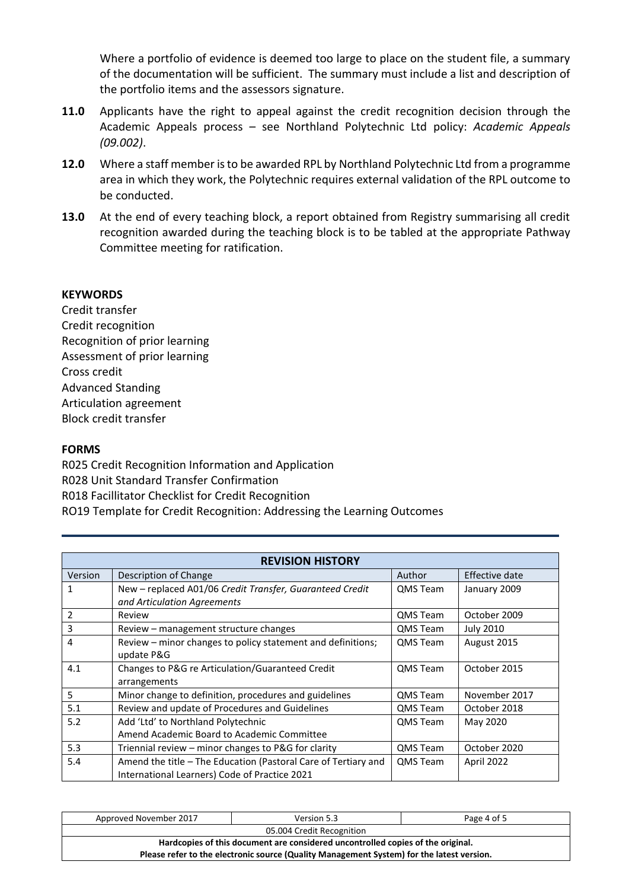Where a portfolio of evidence is deemed too large to place on the student file, a summary of the documentation will be sufficient. The summary must include a list and description of the portfolio items and the assessors signature.

- **11.0** Applicants have the right to appeal against the credit recognition decision through the Academic Appeals process – see Northland Polytechnic Ltd policy: *Academic Appeals (09.002)*.
- **12.0** Where a staff member is to be awarded RPL by Northland Polytechnic Ltd from a programme area in which they work, the Polytechnic requires external validation of the RPL outcome to be conducted.
- **13.0** At the end of every teaching block, a report obtained from Registry summarising all credit recognition awarded during the teaching block is to be tabled at the appropriate Pathway Committee meeting for ratification.

### **KEYWORDS**

Credit transfer Credit recognition Recognition of prior learning Assessment of prior learning Cross credit Advanced Standing Articulation agreement Block credit transfer

#### **FORMS**

R025 Credit Recognition Information and Application R028 Unit Standard Transfer Confirmation R018 Facillitator Checklist for Credit Recognition RO19 Template for Credit Recognition: Addressing the Learning Outcomes

| <b>REVISION HISTORY</b> |                                                                                                                 |                 |                  |
|-------------------------|-----------------------------------------------------------------------------------------------------------------|-----------------|------------------|
| Version                 | Description of Change                                                                                           | Author          | Effective date   |
| $\mathbf{1}$            | New - replaced A01/06 Credit Transfer, Guaranteed Credit<br>and Articulation Agreements                         | QMS Team        | January 2009     |
| $\overline{2}$          | Review                                                                                                          | QMS Team        | October 2009     |
| 3                       | Review – management structure changes                                                                           | QMS Team        | <b>July 2010</b> |
| 4                       | Review – minor changes to policy statement and definitions;<br>update P&G                                       | <b>QMS</b> Team | August 2015      |
| 4.1                     | Changes to P&G re Articulation/Guaranteed Credit<br>arrangements                                                | QMS Team        | October 2015     |
| 5                       | Minor change to definition, procedures and guidelines                                                           | <b>QMS Team</b> | November 2017    |
| 5.1                     | Review and update of Procedures and Guidelines                                                                  | <b>QMS Team</b> | October 2018     |
| 5.2                     | Add 'Ltd' to Northland Polytechnic<br>Amend Academic Board to Academic Committee                                | <b>QMS Team</b> | May 2020         |
| 5.3                     | Triennial review – minor changes to P&G for clarity                                                             | QMS Team        | October 2020     |
| 5.4                     | Amend the title - The Education (Pastoral Care of Tertiary and<br>International Learners) Code of Practice 2021 | QMS Team        | April 2022       |

| Approved November 2017                                                                    | Version 5.3 | Page 4 of 5 |  |  |
|-------------------------------------------------------------------------------------------|-------------|-------------|--|--|
| 05.004 Credit Recognition                                                                 |             |             |  |  |
| Hardcopies of this document are considered uncontrolled copies of the original.           |             |             |  |  |
| Please refer to the electronic source (Quality Management System) for the latest version. |             |             |  |  |